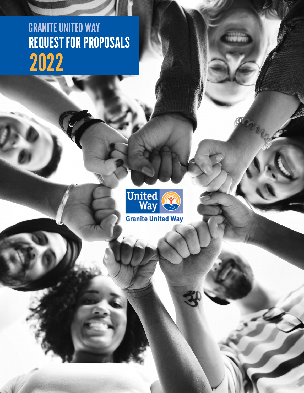# REQUEST FOR PROPOSALS GRANITE UNITED WAY 2022



 $\mathbf \Omega$ 

**Granite United Way**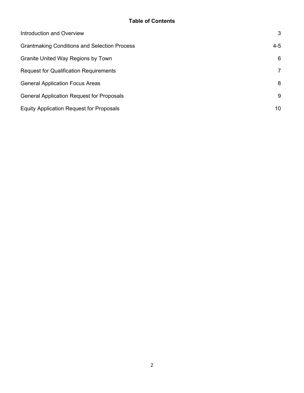| Introduction and Overview                           | 3              |
|-----------------------------------------------------|----------------|
| <b>Grantmaking Conditions and Selection Process</b> | $4 - 5$        |
| Granite United Way Regions by Town                  | 6              |
| <b>Request for Qualification Requirements</b>       | $\overline{7}$ |
| <b>General Application Focus Areas</b>              | 8              |
| <b>General Application Request for Proposals</b>    | 9              |
| <b>Equity Application Request for Proposals</b>     | 10             |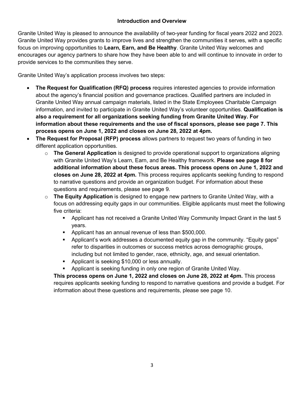Granite United Way is pleased to announce the availability of two-year funding for fiscal years 2022 and 2023. Granite United Way provides grants to improve lives and strengthen the communities it serves, with a specific focus on improving opportunities to **Learn, Earn, and Be Healthy**. Granite United Way welcomes and encourages our agency partners to share how they have been able to and will continue to innovate in order to provide services to the communities they serve.

Granite United Way's application process involves two steps:

- **The Request for Qualification (RFQ) process** requires interested agencies to provide information about the agency's financial position and governance practices. Qualified partners are included in Granite United Way annual campaign materials, listed in the State Employees Charitable Campaign information, and invited to participate in Granite United Way's volunteer opportunities. **Qualification is also a requirement for all organizations seeking funding from Granite United Way. For information about these requirements and the use of fiscal sponsors, please see page 7. This process opens on June 1, 2022 and closes on June 28, 2022 at 4pm.**
- **The Request for Proposal (RFP) process** allows partners to request two years of funding in two different application opportunities.
	- o **The General Application** is designed to provide operational support to organizations aligning with Granite United Way's Learn, Earn, and Be Healthy framework. **Please see page 8 for additional information about these focus areas. This process opens on June 1, 2022 and closes on June 28, 2022 at 4pm.** This process requires applicants seeking funding to respond to narrative questions and provide an organization budget. For information about these questions and requirements, please see page 9.
	- o **The Equity Application** is designed to engage new partners to Granite United Way, with a focus on addressing equity gaps in our communities. Eligible applicants must meet the following five criteria:
		- Applicant has not received a Granite United Way Community Impact Grant in the last 5 years.
		- **Applicant has an annual revenue of less than \$500,000.**
		- Applicant's work addresses a documented equity gap in the community. "Equity gaps" refer to disparities in outcomes or success metrics across demographic groups, including but not limited to gender, race, ethnicity, age, and sexual orientation.
		- **Applicant is seeking \$10,000 or less annually.**
		- Applicant is seeking funding in only one region of Granite United Way.

**This process opens on June 1, 2022 and closes on June 28, 2022 at 4pm.** This process requires applicants seeking funding to respond to narrative questions and provide a budget. For information about these questions and requirements, please see page 10.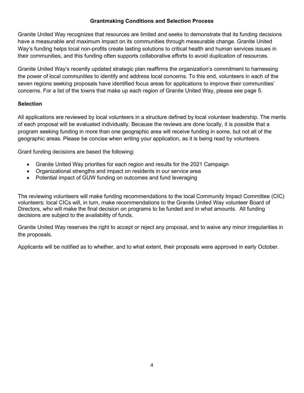# **Grantmaking Conditions and Selection Process**

Granite United Way recognizes that resources are limited and seeks to demonstrate that its funding decisions have a measurable and maximum impact on its communities through measurable change. Granite United Way's funding helps local non-profits create lasting solutions to critical health and human services issues in their communities, and this funding often supports collaborative efforts to avoid duplication of resources.

Granite United Way's recently updated strategic plan reaffirms the organization's commitment to harnessing the power of local communities to identify and address local concerns. To this end, volunteers in each of the seven regions seeking proposals have identified focus areas for applications to improve their communities' concerns. For a list of the towns that make up each region of Granite United Way, please see page 5.

## **Selection**

All applications are reviewed by local volunteers in a structure defined by local volunteer leadership. The merits of each proposal will be evaluated individually. Because the reviews are done locally, it is possible that a program seeking funding in more than one geographic area will receive funding in some, but not all of the geographic areas. Please be concise when writing your application, as it is being read by volunteers.

Grant funding decisions are based the following:

- Granite United Way priorities for each region and results for the 2021 Campaign
- Organizational strengths and impact on residents in our service area
- Potential impact of GUW funding on outcomes and fund leveraging

The reviewing volunteers will make funding recommendations to the local Community Impact Committee (CIC) volunteers; local CICs will, in turn, make recommendations to the Granite United Way volunteer Board of Directors, who will make the final decision on programs to be funded and in what amounts. All funding decisions are subject to the availability of funds.

Granite United Way reserves the right to accept or reject any proposal, and to waive any minor irregularities in the proposals.

Applicants will be notified as to whether, and to what extent, their proposals were approved in early October.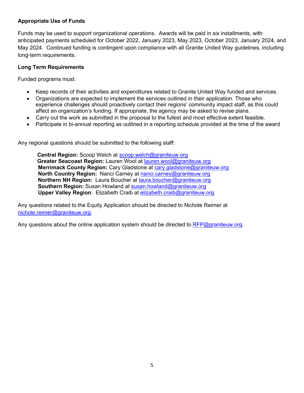## **Appropriate Use of Funds**

Funds may be used to support organizational operations. Awards will be paid in six installments, with anticipated payments scheduled for October 2022, January 2023, May 2023, October 2023, January 2024, and May 2024. Continued funding is contingent upon compliance with all Granite United Way guidelines, including long-term requirements.

## **Long Term Requirements**

Funded programs must:

- Keep records of their activities and expenditures related to Granite United Way funded and services.
- Organizations are expected to implement the services outlined in their application. Those who experience challenges should proactively contact their regions' community impact staff, as this could affect an organization's funding. If appropriate, the agency may be asked to revise plans.
- Carry out the work as submitted in the proposal to the fullest and most effective extent feasible.
- Participate in bi-annual reporting as outlined in a reporting schedule provided at the time of the award

Any regional questions should be submitted to the following staff:

**Central Region:** Scoop Welch at [scoop.welch@graniteuw.org](mailto:scoop.welch@graniteuw.org) **Greater Seacoast Region:** Lauren Wool at [lauren.wool@graniteuw.org](mailto:lauren.wool@graniteuw.org)  **Merrimack County Region:** Cary Gladstone at [cary.gladstone@graniteuw.org](mailto:cary.gladstone@graniteuw.org)  **North Country Region:** Nanci Carney at [nanci.carney@graniteuw.org](mailto:nanci.carney@graniteuw.org)  **Northern NH Region:** Laura Boucher at [laura.boucher@graniteuw.org](mailto:laura.boucher@graniteuw.org) **Southern Region:** Susan Howland at [susan.howland@graniteuw.org](mailto:susan.howland@graniteuw.org)  **Upper Valley Region**: Elizabeth Craib at [elizabeth.craib@graniteuw.org](mailto:elizabeth.craib@graniteuw.org) 

Any questions related to the Equity Application should be directed to Nichole Reimer at [nichole.reimer@graniteuw.org.](mailto:nichole.reimer@graniteuw.org)

Any questions about the online application system should be directed to [RFP@graniteuw.org.](mailto:RFP@graniteuw.org)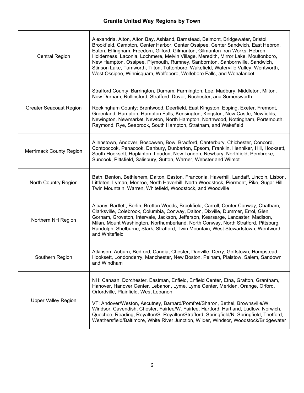| <b>Central Region</b>          | Alexandria, Alton, Alton Bay, Ashland, Barnstead, Belmont, Bridgewater, Bristol,<br>Brookfield, Campton, Center Harbor, Center Ossipee, Center Sandwich, East Hebron,<br>Eaton, Effingham, Freedom, Gilford, Gilmanton, Gilmanton Iron Works, Hebron,<br>Holderness, Laconia, Lochmere, Melvin Village, Meredith, Mirror Lake, Moultonboro,<br>New Hampton, Ossipee, Plymouth, Rumney, Sanbornton, Sanbornville, Sandwich,<br>Stinson Lake, Tamworth, Tilton, Tuftonboro, Wakefield, Waterville Valley, Wentworth,<br>West Ossipee, Winnisquam, Wolfeboro, Wolfeboro Falls, and Wonalancet |
|--------------------------------|--------------------------------------------------------------------------------------------------------------------------------------------------------------------------------------------------------------------------------------------------------------------------------------------------------------------------------------------------------------------------------------------------------------------------------------------------------------------------------------------------------------------------------------------------------------------------------------------|
| <b>Greater Seacoast Region</b> | Strafford County: Barrington, Durham, Farmington, Lee, Madbury, Middleton, Milton,<br>New Durham, Rollinsford, Strafford. Dover, Rochester, and Somersworth<br>Rockingham County: Brentwood, Deerfield, East Kingston, Epping, Exeter, Fremont,<br>Greenland, Hampton, Hampton Falls, Kensington, Kingston, New Castle, Newfields,<br>Newington, Newmarket, Newton, North Hampton, Northwood, Nottingham, Portsmouth,<br>Raymond, Rye, Seabrook, South Hampton, Stratham, and Wakefield                                                                                                    |
| <b>Merrimack County Region</b> | Allenstown, Andover, Boscawen, Bow, Bradford, Canterbury, Chichester, Concord,<br>Contoocook, Penacook, Danbury, Dunbarton, Epsom, Franklin, Henniker, Hill, Hooksett,<br>South Hooksett, Hopkinton, Loudon, New London, Newbury, Northfield, Pembroke,<br>Suncook, Pittsfield, Salisbury, Sutton, Warner, Webster and Wilmot                                                                                                                                                                                                                                                              |
| North Country Region           | Bath, Benton, Bethlehem, Dalton, Easton, Franconia, Haverhill, Landaff, Lincoln, Lisbon,<br>Littleton, Lyman, Monroe, North Haverhill, North Woodstock, Piermont, Pike, Sugar Hill,<br>Twin Mountain, Warren, Whitefield, Woodstock, and Woodville                                                                                                                                                                                                                                                                                                                                         |
| Northern NH Region             | Albany, Bartlett, Berlin, Bretton Woods, Brookfield, Carroll, Center Conway, Chatham,<br>Clarksville, Colebrook, Columbia, Conway, Dalton, Dixville, Dummer, Errol, Glen,<br>Gorham, Groveton, Intervale, Jackson, Jefferson, Kearsarge, Lancaster, Madison,<br>Milan, Mount Washington, Northumberland, North Conway, North Stratford, Pittsburg,<br>Randolph, Shelburne, Stark, Stratford, Twin Mountain, West Stewartstown, Wentworth<br>and Whitefield                                                                                                                                 |
| Southern Region                | Atkinson, Auburn, Bedford, Candia, Chester, Danville, Derry, Goffstown, Hampstead,<br>Hooksett, Londonderry, Manchester, New Boston, Pelham, Plaistow, Salem, Sandown<br>and Windham                                                                                                                                                                                                                                                                                                                                                                                                       |
| <b>Upper Valley Region</b>     | NH: Canaan, Dorchester, Eastman, Enfield, Enfield Center, Etna, Grafton, Grantham,<br>Hanover, Hanover Center, Lebanon, Lyme, Lyme Center, Meriden, Orange, Orford,<br>Orfordville, Plainfield, West Lebanon<br>VT: Andover/Weston, Ascutney, Barnard/Pomfret/Sharon, Bethel, Brownsville/W.<br>Windsor, Cavendish, Chester, Fairlee/W. Fairlee, Hartford, Hartland, Ludlow, Norwich,<br>Quechee, Reading, Royalton/S. Royalton/Strafford, Springfield/N. Springfield, Thetford,<br>Weathersfield/Baltimore, White River Junction, Wilder, Windsor, Woodstock/Bridgewater                  |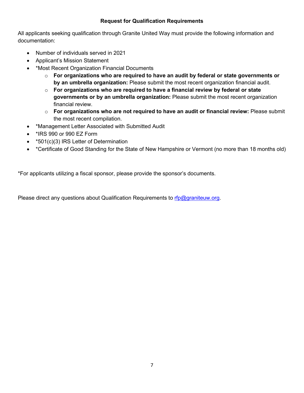## **Request for Qualification Requirements**

All applicants seeking qualification through Granite United Way must provide the following information and documentation:

- Number of individuals served in 2021
- Applicant's Mission Statement
- \*Most Recent Organization Financial Documents
	- o **For organizations who are required to have an audit by federal or state governments or by an umbrella organization:** Please submit the most recent organization financial audit.
	- o **For organizations who are required to have a financial review by federal or state governments or by an umbrella organization:** Please submit the most recent organization financial review.
	- o **For organizations who are not required to have an audit or financial review:** Please submit the most recent compilation.
- \*Management Letter Associated with Submitted Audit
- \*IRS 990 or 990 EZ Form
- \*501(c)(3) IRS Letter of Determination
- \*Certificate of Good Standing for the State of New Hampshire or Vermont (no more than 18 months old)

\*For applicants utilizing a fiscal sponsor, please provide the sponsor's documents.

Please direct any questions about Qualification Requirements to [rfp@graniteuw.org.](mailto:rfp@graniteuw.org)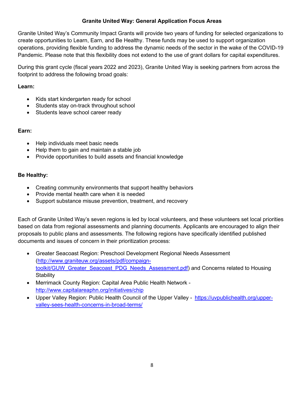# **Granite United Way: General Application Focus Areas**

Granite United Way's Community Impact Grants will provide two years of funding for selected organizations to create opportunities to Learn, Earn, and Be Healthy. These funds may be used to support organization operations, providing flexible funding to address the dynamic needs of the sector in the wake of the COVID-19 Pandemic. Please note that this flexibility does not extend to the use of grant dollars for capital expenditures.

During this grant cycle (fiscal years 2022 and 2023), Granite United Way is seeking partners from across the footprint to address the following broad goals:

## **Learn:**

- Kids start kindergarten ready for school
- Students stay on-track throughout school
- Students leave school career ready

#### **Earn:**

- Help individuals meet basic needs
- Help them to gain and maintain a stable job
- Provide opportunities to build assets and financial knowledge

## **Be Healthy:**

- Creating community environments that support healthy behaviors
- Provide mental health care when it is needed
- Support substance misuse prevention, treatment, and recovery

Each of Granite United Way's seven regions is led by local volunteers, and these volunteers set local priorities based on data from regional assessments and planning documents. Applicants are encouraged to align their proposals to public plans and assessments. The following regions have specifically identified published documents and issues of concern in their prioritization process:

- Greater Seacoast Region: Preschool Development Regional Needs Assessment [\(http://www.graniteuw.org/assets/pdf/compaign](http://www.graniteuw.org/assets/pdf/compaign-toolkit/GUW_Greater_Seacoast_PDG_Needs_Assessment.pdf)[toolkit/GUW\\_Greater\\_Seacoast\\_PDG\\_Needs\\_Assessment.pdf\)](http://www.graniteuw.org/assets/pdf/compaign-toolkit/GUW_Greater_Seacoast_PDG_Needs_Assessment.pdf) and Concerns related to Housing **Stability**
- Merrimack County Region: Capital Area Public Health Network <http://www.capitalareaphn.org/initiatives/chip>
- Upper Valley Region: Public Health Council of the Upper Valley - [https://uvpublichealth.org/upper](https://uvpublichealth.org/upper-valley-sees-health-concerns-in-broad-terms/)[valley-sees-health-concerns-in-broad-terms/](https://uvpublichealth.org/upper-valley-sees-health-concerns-in-broad-terms/)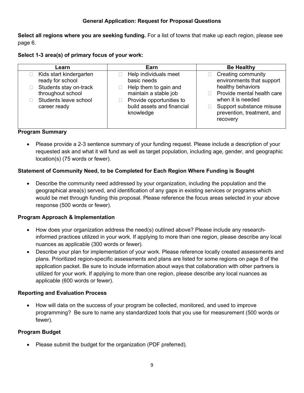## **General Application: Request for Proposal Questions**

**Select all regions where you are seeking funding.** For a list of towns that make up each region, please see page 6.

| Select 1-3 area(s) of primary focus of your work: |  |
|---------------------------------------------------|--|
|---------------------------------------------------|--|

| Learn                                                                                                                               | Earn                                                                                                                                                          | <b>Be Healthy</b>                                                                                                                                                                             |
|-------------------------------------------------------------------------------------------------------------------------------------|---------------------------------------------------------------------------------------------------------------------------------------------------------------|-----------------------------------------------------------------------------------------------------------------------------------------------------------------------------------------------|
| Kids start kindergarten<br>ready for school<br>Students stay on-track<br>throughout school<br>Students leave school<br>career ready | Help individuals meet<br>basic needs<br>Help them to gain and<br>maintain a stable job<br>Provide opportunities to<br>build assets and financial<br>knowledge | Creating community<br>environments that support<br>healthy behaviors<br>Provide mental health care<br>when it is needed<br>Support substance misuse<br>prevention, treatment, and<br>recovery |
|                                                                                                                                     |                                                                                                                                                               |                                                                                                                                                                                               |

#### **Program Summary**

• Please provide a 2-3 sentence summary of your funding request. Please include a description of your requested ask and what it will fund as well as target population, including age, gender, and geographic location(s) (75 words or fewer).

# **Statement of Community Need, to be Completed for Each Region Where Funding is Sought**

• Describe the community need addressed by your organization, including the population and the geographical area(s) served, and identification of any gaps in existing services or programs which would be met through funding this proposal. Please reference the focus areas selected in your above response (500 words or fewer).

# **Program Approach & Implementation**

- How does your organization address the need(s) outlined above? Please include any researchinformed practices utilized in your work. If applying to more than one region, please describe any local nuances as applicable (300 words or fewer).
- Describe your plan for implementation of your work. Please reference locally created assessments and plans. Prioritized region-specific assessments and plans are listed for some regions on page 8 of the application packet. Be sure to include information about ways that collaboration with other partners is utilized for your work. If applying to more than one region, please describe any local nuances as applicable (600 words or fewer).

# **Reporting and Evaluation Process**

• How will data on the success of your program be collected, monitored, and used to improve programming? Be sure to name any standardized tools that you use for measurement (500 words or fewer).

# **Program Budget**

• Please submit the budget for the organization (PDF preferred).